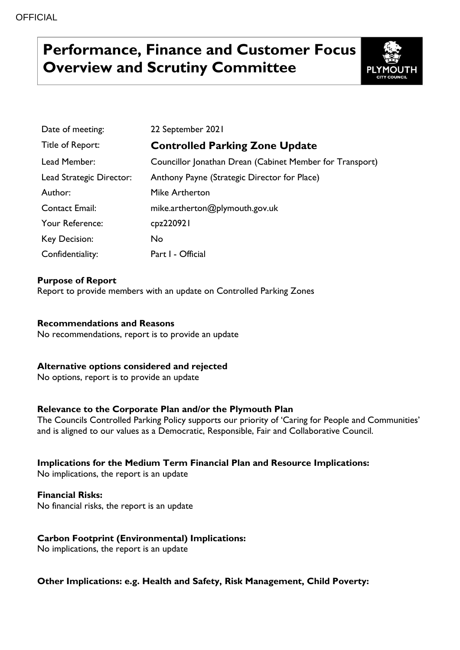# **Performance, Finance and Customer Focus Overview and Scrutiny Committee**



| Date of meeting:         | 22 September 2021                                        |
|--------------------------|----------------------------------------------------------|
| Title of Report:         | <b>Controlled Parking Zone Update</b>                    |
| Lead Member:             | Councillor Jonathan Drean (Cabinet Member for Transport) |
| Lead Strategic Director: | Anthony Payne (Strategic Director for Place)             |
| Author:                  | Mike Artherton                                           |
| <b>Contact Email:</b>    | mike.artherton@plymouth.gov.uk                           |
| Your Reference:          | cpz220921                                                |
| Key Decision:            | No.                                                      |
| Confidentiality:         | Part I - Official                                        |

## **Purpose of Report**

Report to provide members with an update on Controlled Parking Zones

# **Recommendations and Reasons**

No recommendations, report is to provide an update

#### **Alternative options considered and rejected**

No options, report is to provide an update

#### **Relevance to the Corporate Plan and/or the Plymouth Plan**

The Councils Controlled Parking Policy supports our priority of 'Caring for People and Communities' and is aligned to our values as a Democratic, Responsible, Fair and Collaborative Council.

#### **Implications for the Medium Term Financial Plan and Resource Implications:**

No implications, the report is an update

#### **Financial Risks:**

No financial risks, the report is an update

#### **Carbon Footprint (Environmental) Implications:**

No implications, the report is an update

#### **Other Implications: e.g. Health and Safety, Risk Management, Child Poverty:**